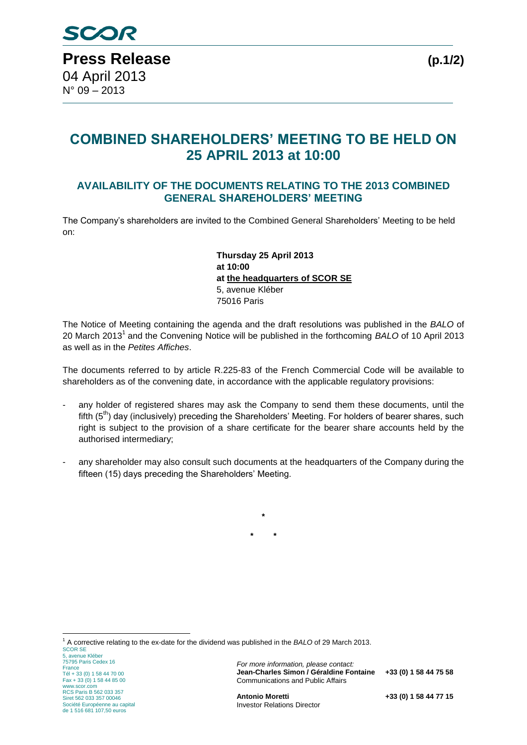## **COMBINED SHAREHOLDERS' MEETING TO BE HELD ON 25 APRIL 2013 at 10:00**

## **AVAILABILITY OF THE DOCUMENTS RELATING TO THE 2013 COMBINED GENERAL SHAREHOLDERS' MEETING**

The Company's shareholders are invited to the Combined General Shareholders' Meeting to be held on:

> **Thursday 25 April 2013 at 10:00 at the headquarters of SCOR SE** 5, avenue Kléber 75016 Paris

The Notice of Meeting containing the agenda and the draft resolutions was published in the *BALO* of 20 March 2013 1 and the Convening Notice will be published in the forthcoming *BALO* of 10 April 2013 as well as in the *Petites Affiches*.

The documents referred to by article R.225-83 of the French Commercial Code will be available to shareholders as of the convening date, in accordance with the applicable regulatory provisions:

- any holder of registered shares may ask the Company to send them these documents, until the fifth  $(5<sup>th</sup>)$  day (inclusively) preceding the Shareholders' Meeting. For holders of bearer shares, such right is subject to the provision of a share certificate for the bearer share accounts held by the authorised intermediary;
- any shareholder may also consult such documents at the headquarters of the Company during the fifteen (15) days preceding the Shareholders' Meeting.

**\***

**\* \***

<u>.</u>

<sup>1</sup> A corrective relating to the ex-date for the dividend was published in the *BALO* of 29 March 2013.